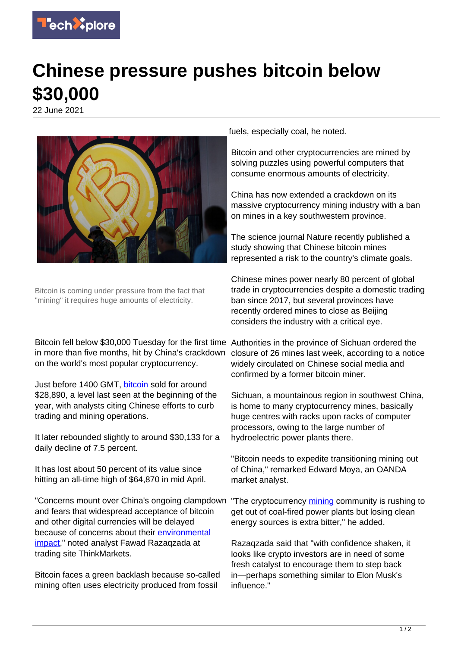

## **Chinese pressure pushes bitcoin below \$30,000**

22 June 2021



Bitcoin is coming under pressure from the fact that "mining" it requires huge amounts of electricity.

Bitcoin fell below \$30,000 Tuesday for the first time Authorities in the province of Sichuan ordered the in more than five months, hit by China's crackdown on the world's most popular cryptocurrency.

Just before 1400 GMT, **bitcoin** sold for around \$28,890, a level last seen at the beginning of the year, with analysts citing Chinese efforts to curb trading and mining operations.

It later rebounded slightly to around \$30,133 for a daily decline of 7.5 percent.

It has lost about 50 percent of its value since hitting an all-time high of \$64,870 in mid April.

"Concerns mount over China's ongoing clampdown and fears that widespread acceptance of bitcoin and other digital currencies will be delayed because of concerns about their [environmental](https://techxplore.com/tags/environmental+impact/) [impact,](https://techxplore.com/tags/environmental+impact/)" noted analyst Fawad Razaqzada at trading site ThinkMarkets.

Bitcoin faces a green backlash because so-called mining often uses electricity produced from fossil

fuels, especially coal, he noted.

Bitcoin and other cryptocurrencies are mined by solving puzzles using powerful computers that consume enormous amounts of electricity.

China has now extended a crackdown on its massive cryptocurrency mining industry with a ban on mines in a key southwestern province.

The science journal Nature recently published a study showing that Chinese bitcoin mines represented a risk to the country's climate goals.

Chinese mines power nearly 80 percent of global trade in cryptocurrencies despite a domestic trading ban since 2017, but several provinces have recently ordered mines to close as Beijing considers the industry with a critical eye.

closure of 26 mines last week, according to a notice widely circulated on Chinese social media and confirmed by a former bitcoin miner.

Sichuan, a mountainous region in southwest China, is home to many cryptocurrency mines, basically huge centres with racks upon racks of computer processors, owing to the large number of hydroelectric power plants there.

"Bitcoin needs to expedite transitioning mining out of China," remarked Edward Moya, an OANDA market analyst.

"The cryptocurrency [mining](https://techxplore.com/tags/mining/) community is rushing to get out of coal-fired power plants but losing clean energy sources is extra bitter," he added.

Razaqzada said that "with confidence shaken, it looks like crypto investors are in need of some fresh catalyst to encourage them to step back in—perhaps something similar to Elon Musk's influence."